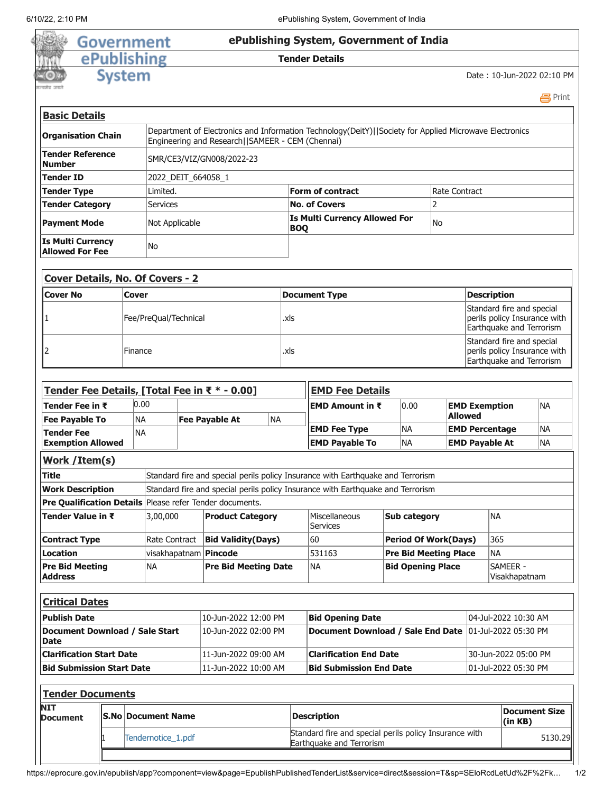

**马Print** 

| <b>Basic Details</b>                               |                                                                                                                                                             |                                             |               |  |  |  |  |  |
|----------------------------------------------------|-------------------------------------------------------------------------------------------------------------------------------------------------------------|---------------------------------------------|---------------|--|--|--|--|--|
| <b>Organisation Chain</b>                          | Department of Electronics and Information Technology(DeitY)  Society for Applied Microwave Electronics<br>Engineering and Research   SAMEER - CEM (Chennai) |                                             |               |  |  |  |  |  |
| <b>Tender Reference</b><br><b>Number</b>           |                                                                                                                                                             | SMR/CE3/VIZ/GN008/2022-23                   |               |  |  |  |  |  |
| Tender ID                                          | 2022 DEIT 664058 1                                                                                                                                          |                                             |               |  |  |  |  |  |
| <b>Tender Type</b>                                 | Limited.                                                                                                                                                    | <b>Form of contract</b>                     | Rate Contract |  |  |  |  |  |
| <b>Tender Category</b>                             | <b>Services</b>                                                                                                                                             | <b>No. of Covers</b>                        |               |  |  |  |  |  |
| <b>Payment Mode</b>                                | Not Applicable                                                                                                                                              | Is Multi Currency Allowed For<br><b>BOQ</b> | No.           |  |  |  |  |  |
| <b>Is Multi Currency</b><br><b>Allowed For Fee</b> | No.                                                                                                                                                         |                                             |               |  |  |  |  |  |

| <b>Cover Details, No. Of Covers - 2</b> |                       |               |                                                                                       |  |  |  |
|-----------------------------------------|-----------------------|---------------|---------------------------------------------------------------------------------------|--|--|--|
| <b>ICover No</b>                        | Cover                 | Document Type | <b>Description</b>                                                                    |  |  |  |
|                                         | Fee/PreQual/Technical | .xls          | Standard fire and special<br>perils policy Insurance with<br>Earthquake and Terrorism |  |  |  |
|                                         | Finance               | .xls          | Standard fire and special<br>perils policy Insurance with<br>Earthquake and Terrorism |  |  |  |

| Tender Fee Details, [Total Fee in ₹ * - 0.00]                                                              |               |           |                             |                           |                                                          | <b>EMD Fee Details</b>                                                          |                       |                                                                                    |                             |                       |                           |                      |                      |           |
|------------------------------------------------------------------------------------------------------------|---------------|-----------|-----------------------------|---------------------------|----------------------------------------------------------|---------------------------------------------------------------------------------|-----------------------|------------------------------------------------------------------------------------|-----------------------------|-----------------------|---------------------------|----------------------|----------------------|-----------|
| Tender Fee in ₹                                                                                            |               | 0.00      |                             |                           |                                                          |                                                                                 |                       | <b>EMD Amount in <math>\bar{\tau}</math></b>                                       |                             | 0.00                  |                           | <b>EMD Exemption</b> |                      | <b>NA</b> |
| <b>Fee Payable To</b>                                                                                      |               | <b>NA</b> |                             |                           | <b>Fee Payable At</b>                                    | <b>NA</b>                                                                       |                       |                                                                                    |                             |                       | <b>Allowed</b>            |                      |                      |           |
| <b>Tender Fee</b>                                                                                          |               | <b>NA</b> |                             |                           |                                                          |                                                                                 |                       | <b>EMD Fee Type</b>                                                                |                             | <b>NA</b>             | <b>EMD Percentage</b>     |                      |                      | <b>NA</b> |
| <b>Exemption Allowed</b>                                                                                   |               |           |                             |                           |                                                          |                                                                                 | <b>EMD Payable To</b> |                                                                                    | <b>NA</b>                   | <b>EMD Payable At</b> |                           | <b>NA</b>            |                      |           |
| Work / Item(s)                                                                                             |               |           |                             |                           |                                                          |                                                                                 |                       |                                                                                    |                             |                       |                           |                      |                      |           |
| <b>Title</b>                                                                                               |               |           |                             |                           |                                                          | Standard fire and special perils policy Insurance with Earthquake and Terrorism |                       |                                                                                    |                             |                       |                           |                      |                      |           |
| Standard fire and special perils policy Insurance with Earthquake and Terrorism<br><b>Work Description</b> |               |           |                             |                           |                                                          |                                                                                 |                       |                                                                                    |                             |                       |                           |                      |                      |           |
|                                                                                                            |               |           |                             |                           | Pre Qualification Details Please refer Tender documents. |                                                                                 |                       |                                                                                    |                             |                       |                           |                      |                      |           |
| Tender Value in ₹<br>3,00,000                                                                              |               |           | <b>Product Category</b>     |                           |                                                          | Miscellaneous<br><b>Services</b>                                                |                       | <b>Sub category</b>                                                                |                             |                       | <b>NA</b>                 |                      |                      |           |
| <b>Contract Type</b>                                                                                       | Rate Contract |           |                             | <b>Bid Validity(Days)</b> |                                                          |                                                                                 | 60                    |                                                                                    | <b>Period Of Work(Days)</b> |                       |                           | 365                  |                      |           |
| Location<br>visakhapatnam   Pincode                                                                        |               |           |                             |                           |                                                          | 531163                                                                          |                       | <b>Pre Bid Meeting Place</b>                                                       |                             |                       | <b>NA</b>                 |                      |                      |           |
| <b>Pre Bid Meeting</b><br><b>NA</b><br><b>Address</b>                                                      |               |           | <b>Pre Bid Meeting Date</b> |                           |                                                          | <b>NA</b>                                                                       |                       | <b>Bid Opening Place</b>                                                           |                             |                       | SAMEER -<br>Visakhapatnam |                      |                      |           |
| <b>Critical Dates</b>                                                                                      |               |           |                             |                           |                                                          |                                                                                 |                       |                                                                                    |                             |                       |                           |                      |                      |           |
| <b>Publish Date</b>                                                                                        |               |           | 10-Jun-2022 12:00 PM        |                           |                                                          | <b>Bid Opening Date</b>                                                         |                       |                                                                                    | 04-Jul-2022 10:30 AM        |                       |                           |                      |                      |           |
| Document Download / Sale Start<br><b>Date</b>                                                              |               |           | 10-Jun-2022 02:00 PM        |                           |                                                          | Document Download / Sale End Date                                               |                       |                                                                                    |                             | 01-Jul-2022 05:30 PM  |                           |                      |                      |           |
| <b>Clarification Start Date</b>                                                                            |               |           | 11-Jun-2022 09:00 AM        |                           |                                                          | <b>Clarification End Date</b>                                                   |                       |                                                                                    | 30-Jun-2022 05:00 PM        |                       |                           |                      |                      |           |
| <b>Bid Submission Start Date</b>                                                                           |               |           | 11-Jun-2022 10:00 AM        |                           |                                                          | <b>Bid Submission End Date</b>                                                  |                       |                                                                                    |                             | 01-Jul-2022 05:30 PM  |                           |                      |                      |           |
| <b>Tender Documents</b>                                                                                    |               |           |                             |                           |                                                          |                                                                                 |                       |                                                                                    |                             |                       |                           |                      |                      |           |
| <b>NIT</b><br><b>Document</b>                                                                              |               |           | <b>S.No Document Name</b>   |                           |                                                          |                                                                                 | <b>Description</b>    |                                                                                    |                             |                       |                           | (in KB)              | <b>Document Size</b> |           |
|                                                                                                            |               |           | Tendernotice 1.pdf          |                           |                                                          |                                                                                 |                       | Standard fire and special perils policy Insurance with<br>Earthquake and Terrorism |                             |                       |                           |                      |                      | 5130.29   |
|                                                                                                            |               |           |                             |                           |                                                          |                                                                                 |                       |                                                                                    |                             |                       |                           |                      |                      |           |

https://eprocure.gov.in/epublish/app?component=view&page=EpublishPublishedTenderList&service=direct&session=T&sp=SEloRcdLetUd%2F%2Fk… 1/2